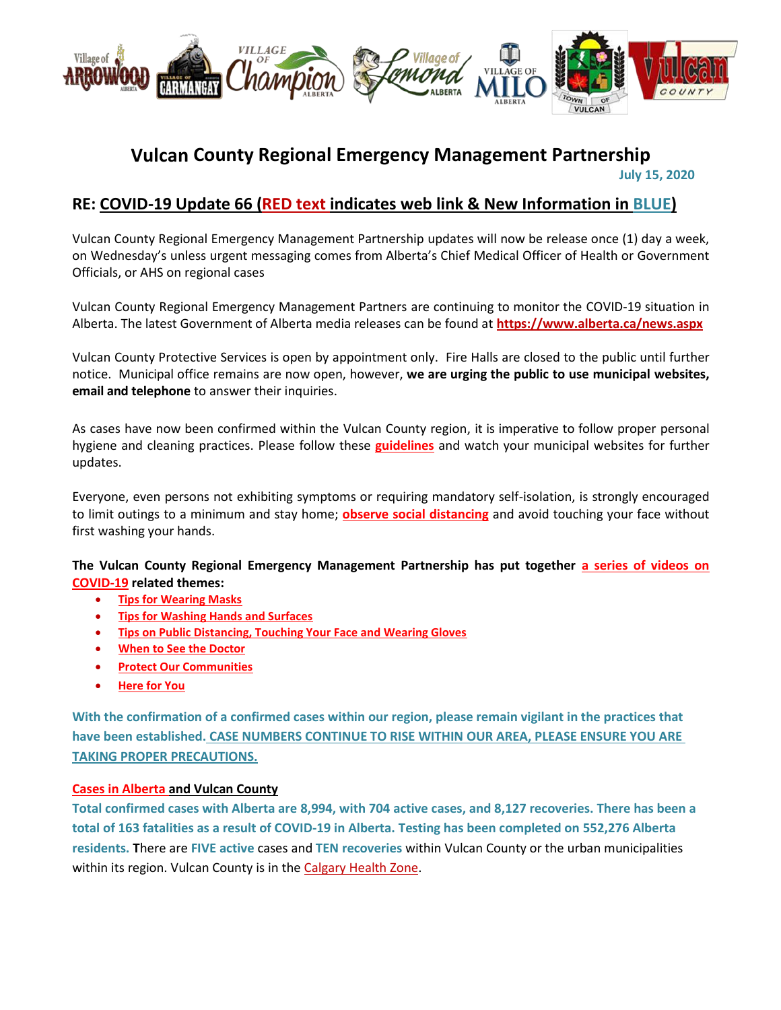

# **Vulcan County Regional Emergency Management Partnership**

 **July 15, 2020**

# **RE: COVID-19 Update 66 (RED text indicates web link & New Information in BLUE)**

Vulcan County Regional Emergency Management Partnership updates will now be release once (1) day a week, on Wednesday's unless urgent messaging comes from Alberta's Chief Medical Officer of Health or Government Officials, or AHS on regional cases

Vulcan County Regional Emergency Management Partners are continuing to monitor the COVID-19 situation in Alberta. The latest Government of Alberta media releases can be found at **<https://www.alberta.ca/news.aspx>**

Vulcan County Protective Services is open by appointment only. Fire Halls are closed to the public until further notice. Municipal office remains are now open, however, **we are urging the public to use municipal websites, email and telephone** to answer their inquiries.

As cases have now been confirmed within the Vulcan County region, it is imperative to follow proper personal hygiene and cleaning practices. Please follow these **[guidelines](https://www.albertahealthservices.ca/topics/Page16997.aspx#sign)** and watch your municipal websites for further updates.

Everyone, even persons not exhibiting symptoms or requiring mandatory self-isolation, is strongly encouraged to limit outings to a minimum and stay home; **[observe social distancing](https://www.albertahealthservices.ca/topics/Page17008.aspx)** and avoid touching your face without first washing your hands.

**The Vulcan County Regional Emergency Management Partnership has put together [a series of videos on](https://villageoflomond.ca/allremavideos/)  [COVID-19](https://villageoflomond.ca/allremavideos/) related themes:**

- **[Tips for Wearing Masks](https://youtu.be/mS2rSlOT2n0)**
- **[Tips for Washing Hands and Surfaces](https://youtu.be/pWpGo3uQe-4)**
- **[Tips on Public Distancing, Touching Your Face and Wearing Gloves](https://youtu.be/84qhhl06TII)**
- **[When to See the Doctor](https://youtu.be/raDnetqvEXk)**
- **[Protect Our Communities](https://www.youtube.com/watch?v=swS6GGn_iYg&feature=youtu.be)**
- **[Here for You](https://www.youtube.com/watch?v=QhxWFY7HuM4&feature=youtu.be)**

**With the confirmation of a confirmed cases within our region, please remain vigilant in the practices that have been established. CASE NUMBERS CONTINUE TO RISE WITHIN OUR AREA, PLEASE ENSURE YOU ARE TAKING PROPER PRECAUTIONS.**

# **[Cases in Alberta](https://covid19stats.alberta.ca/) and Vulcan County**

**Total confirmed cases with Alberta are 8,994, with 704 active cases, and 8,127 recoveries. There has been a total of 163 fatalities as a result of COVID-19 in Alberta. Testing has been completed on 552,276 Alberta residents. T**here are **FIVE active** cases and **TEN recoveries** within Vulcan County or the urban municipalities within its region. Vulcan County is in the [Calgary Health Zone.](https://www.albertahealthservices.ca/ahs-map-ahs-zones.pdf)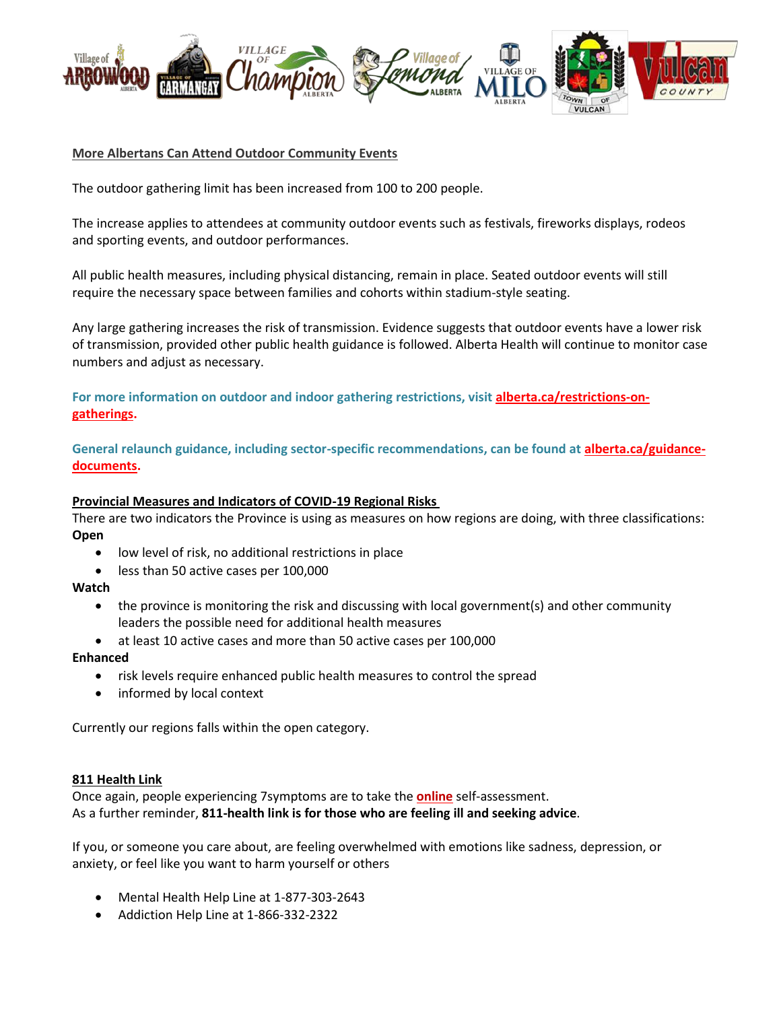

# **More Albertans Can Attend Outdoor Community Events**

The outdoor gathering limit has been increased from 100 to 200 people.

The increase applies to attendees at community outdoor events such as festivals, fireworks displays, rodeos and sporting events, and outdoor performances.

All public health measures, including physical distancing, remain in place. Seated outdoor events will still require the necessary space between families and cohorts within stadium-style seating.

Any large gathering increases the risk of transmission. Evidence suggests that outdoor events have a lower risk of transmission, provided other public health guidance is followed. Alberta Health will continue to monitor case numbers and adjust as necessary.

**For more information on outdoor and indoor gathering restrictions, visit [alberta.ca/restrictions-on](https://www.alberta.ca/restrictions-on-gatherings.aspx)[gatherings.](https://www.alberta.ca/restrictions-on-gatherings.aspx)**

**General relaunch guidance, including sector-specific recommendations, can be found at [alberta.ca/guidance](https://www.alberta.ca/guidance-documents.aspx)[documents.](https://www.alberta.ca/guidance-documents.aspx)**

### **Provincial Measures and Indicators of COVID-19 Regional Risks**

There are two indicators the Province is using as measures on how regions are doing, with three classifications: **Open**

- low level of risk, no additional restrictions in place
- less than 50 active cases per 100,000

**Watch**

- the province is monitoring the risk and discussing with local government(s) and other community leaders the possible need for additional health measures
- at least 10 active cases and more than 50 active cases per 100,000

### **Enhanced**

- risk levels require enhanced public health measures to control the spread
- informed by local context

Currently our regions falls within the open category.

### **811 Health Link**

Once again, people experiencing 7symptoms are to take the **[online](https://myhealth.alberta.ca/Journey/COVID-19/Pages/COVID-Self-Assessment.aspx)** self-assessment. As a further reminder, **811-health link is for those who are feeling ill and seeking advice**.

If you, or someone you care about, are feeling overwhelmed with emotions like sadness, depression, or anxiety, or feel like you want to harm yourself or others

- Mental Health Help Line at 1-877-303-2643
- Addiction Help Line at 1-866-332-2322